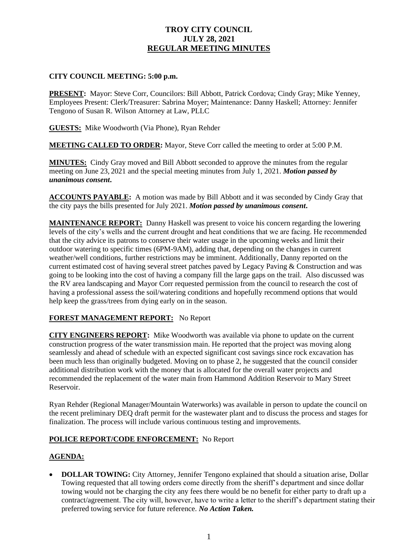# **TROY CITY COUNCIL JULY 28, 2021 REGULAR MEETING MINUTES**

### **CITY COUNCIL MEETING: 5:00 p.m.**

**PRESENT:** Mayor: Steve Corr, Councilors: Bill Abbott, Patrick Cordova; Cindy Gray; Mike Yenney, Employees Present: Clerk/Treasurer: Sabrina Moyer; Maintenance: Danny Haskell; Attorney: Jennifer Tengono of Susan R. Wilson Attorney at Law, PLLC

**GUESTS:** Mike Woodworth (Via Phone), Ryan Rehder

**MEETING CALLED TO ORDER:** Mayor, Steve Corr called the meeting to order at 5:00 P.M.

**MINUTES:** Cindy Gray moved and Bill Abbott seconded to approve the minutes from the regular meeting on June 23, 2021 and the special meeting minutes from July 1, 2021. *Motion passed by unanimous consent***.**

**ACCOUNTS PAYABLE:** A motion was made by Bill Abbott and it was seconded by Cindy Gray that the city pays the bills presented for July 2021. *Motion passed by unanimous consent***.**

**MAINTENANCE REPORT:** Danny Haskell was present to voice his concern regarding the lowering levels of the city's wells and the current drought and heat conditions that we are facing. He recommended that the city advice its patrons to conserve their water usage in the upcoming weeks and limit their outdoor watering to specific times (6PM-9AM), adding that, depending on the changes in current weather/well conditions, further restrictions may be imminent. Additionally, Danny reported on the current estimated cost of having several street patches paved by Legacy Paving & Construction and was going to be looking into the cost of having a company fill the large gaps on the trail. Also discussed was the RV area landscaping and Mayor Corr requested permission from the council to research the cost of having a professional assess the soil/watering conditions and hopefully recommend options that would help keep the grass/trees from dying early on in the season.

## **FOREST MANAGEMENT REPORT:** No Report

**CITY ENGINEERS REPORT:** Mike Woodworth was available via phone to update on the current construction progress of the water transmission main. He reported that the project was moving along seamlessly and ahead of schedule with an expected significant cost savings since rock excavation has been much less than originally budgeted. Moving on to phase 2, he suggested that the council consider additional distribution work with the money that is allocated for the overall water projects and recommended the replacement of the water main from Hammond Addition Reservoir to Mary Street Reservoir.

Ryan Rehder (Regional Manager/Mountain Waterworks) was available in person to update the council on the recent preliminary DEQ draft permit for the wastewater plant and to discuss the process and stages for finalization. The process will include various continuous testing and improvements.

### **POLICE REPORT/CODE ENFORCEMENT:** No Report

## **AGENDA:**

• **DOLLAR TOWING:** City Attorney, Jennifer Tengono explained that should a situation arise, Dollar Towing requested that all towing orders come directly from the sheriff's department and since dollar towing would not be charging the city any fees there would be no benefit for either party to draft up a contract/agreement. The city will, however, have to write a letter to the sheriff's department stating their preferred towing service for future reference. *No Action Taken.*